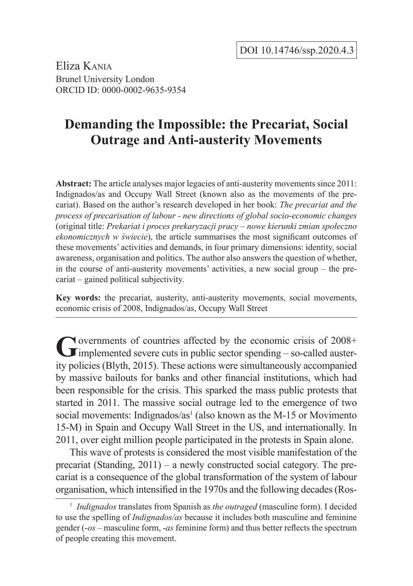Eliza Kania Brunel University London ORCID ID: 0000-0002-9635-9354

# **Demanding the Impossible: the Precariat, Social Outrage and Anti-austerity Movements**

**Abstract:** The article analyses major legacies of anti-austerity movements since 2011: Indignados/as and Occupy Wall Street (known also as the movements of the precariat). Based on the author's research developed in her book: *The precariat and the process of precarisation of labour - new directions of global socio-economic changes* (original title: *Prekariat i proces prekaryzacji pracy – nowe kierunki zmian społeczno ekonomicznych w świecie*), the article summarises the most significant outcomes of these movements' activities and demands, in four primary dimensions: identity, social awareness, organisation and politics. The author also answers the question of whether, in the course of anti-austerity movements' activities, a new social group – the precariat – gained political subjectivity.

**Key words:** the precariat, austerity, anti-austerity movements, social movements, economic crisis of 2008, Indignados/as, Occupy Wall Street

Governments of countries affected by the economic crisis of 2008+<br>
implemented severe cuts in public sector spending – so-called austerity policies (Blyth, 2015). These actions were simultaneously accompanied by massive bailouts for banks and other financial institutions, which had been responsible for the crisis. This sparked the mass public protests that started in 2011. The massive social outrage led to the emergence of two social movements: Indignados/as<sup>1</sup> (also known as the M-15 or Movimento 15-M) in Spain and Occupy Wall Street in the US, and internationally. In 2011, over eight million people participated in the protests in Spain alone.

This wave of protests is considered the most visible manifestation of the precariat (Standing, 2011) – a newly constructed social category. The precariat is a consequence of the global transformation of the system of labour organisation, which intensified in the 1970s and the following decades (Ros-

<sup>&</sup>lt;sup>1</sup> *Indignados* translates from Spanish as *the outraged* (masculine form). I decided to use the spelling of *Indignados/as* because it includes both masculine and feminine gender (-*os* – masculine form, -*as* feminine form) and thus better reflects the spectrum of people creating this movement.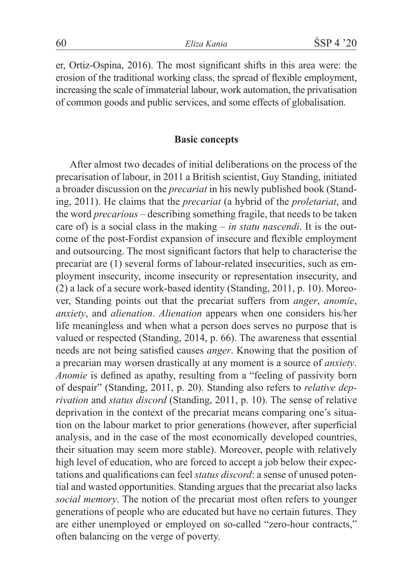er, Ortiz-Ospina, 2016). The most significant shifts in this area were: the erosion of the traditional working class, the spread of flexible employment, increasing the scale of immaterial labour, work automation, the privatisation of common goods and public services, and some effects of globalisation.

### **Basic concepts**

After almost two decades of initial deliberations on the process of the precarisation of labour, in 2011 a British scientist, Guy Standing, initiated a broader discussion on the *precariat* in his newly published book (Standing, 2011). He claims that the *precariat* (a hybrid of the *proletariat*, and the word *precarious* – describing something fragile, that needs to be taken care of) is a social class in the making – *in statu nascendi*. It is the outcome of the post-Fordist expansion of insecure and flexible employment and outsourcing. The most significant factors that help to characterise the precariat are (1) several forms of labour-related insecurities, such as employment insecurity, income insecurity or representation insecurity, and (2) a lack of a secure work-based identity (Standing, 2011, p. 10). Moreover, Standing points out that the precariat suffers from *anger*, *anomie*, *anxiety*, and *alienation*. *Alienation* appears when one considers his/her life meaningless and when what a person does serves no purpose that is valued or respected (Standing, 2014, p. 66). The awareness that essential needs are not being satisfied causes *anger*. Knowing that the position of a precarian may worsen drastically at any moment is a source of *anxiety*. *Anomie* is defined as apathy, resulting from a "feeling of passivity born of despair" (Standing, 2011, p. 20). Standing also refers to *relative deprivation* and *status discord* (Standing, 2011, p. 10). The sense of relative deprivation in the context of the precariat means comparing one's situation on the labour market to prior generations (however, after superficial analysis, and in the case of the most economically developed countries, their situation may seem more stable). Moreover, people with relatively high level of education, who are forced to accept a job below their expectations and qualifications can feel *status discord*: a sense of unused potential and wasted opportunities. Standing argues that the precariat also lacks *social memory*. The notion of the precariat most often refers to younger generations of people who are educated but have no certain futures. They are either unemployed or employed on so-called "zero-hour contracts," often balancing on the verge of poverty.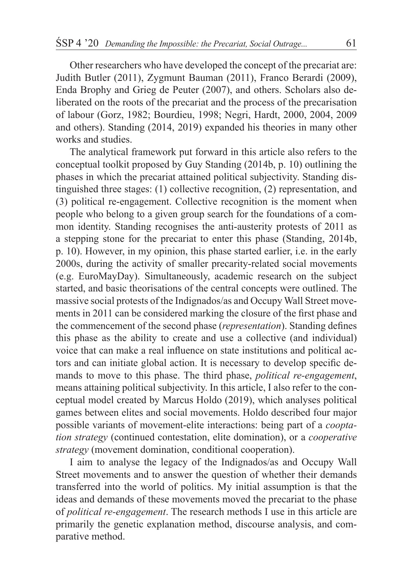Other researchers who have developed the concept of the precariat are: Judith Butler (2011), Zygmunt Bauman (2011), Franco Berardi (2009), Enda Brophy and Grieg de Peuter (2007), and others. Scholars also deliberated on the roots of the precariat and the process of the precarisation of labour (Gorz, 1982; Bourdieu, 1998; Negri, Hardt, 2000, 2004, 2009 and others). Standing (2014, 2019) expanded his theories in many other works and studies.

The analytical framework put forward in this article also refers to the conceptual toolkit proposed by Guy Standing (2014b, p. 10) outlining the phases in which the precariat attained political subjectivity. Standing distinguished three stages: (1) collective recognition, (2) representation, and (3) political re-engagement. Collective recognition is the moment when people who belong to a given group search for the foundations of a common identity. Standing recognises the anti-austerity protests of 2011 as a stepping stone for the precariat to enter this phase (Standing, 2014b, p. 10). However, in my opinion, this phase started earlier, i.e. in the early 2000s, during the activity of smaller precarity-related social movements (e.g. EuroMayDay). Simultaneously, academic research on the subject started, and basic theorisations of the central concepts were outlined. The massive social protests of the Indignados/as and Occupy Wall Street movements in 2011 can be considered marking the closure of the first phase and the commencement of the second phase (*representation*). Standing defines this phase as the ability to create and use a collective (and individual) voice that can make a real influence on state institutions and political actors and can initiate global action. It is necessary to develop specific demands to move to this phase. The third phase, *political re-engagement*, means attaining political subjectivity. In this article, I also refer to the conceptual model created by Marcus Holdo (2019), which analyses political games between elites and social movements. Holdo described four major possible variants of movement-elite interactions: being part of a *cooptation strategy* (continued contestation, elite domination), or a *cooperative strategy* (movement domination, conditional cooperation).

I aim to analyse the legacy of the Indignados/as and Occupy Wall Street movements and to answer the question of whether their demands transferred into the world of politics. My initial assumption is that the ideas and demands of these movements moved the precariat to the phase of *political re-engagement*. The research methods I use in this article are primarily the genetic explanation method, discourse analysis, and comparative method.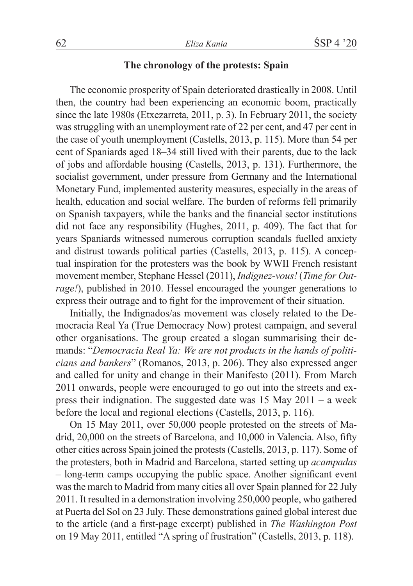# **The chronology of the protests: Spain**

The economic prosperity of Spain deteriorated drastically in 2008. Until then, the country had been experiencing an economic boom, practically since the late 1980s (Etxezarreta, 2011, p. 3). In February 2011, the society was struggling with an unemployment rate of 22 per cent, and 47 per cent in the case of youth unemployment (Castells, 2013, p. 115). More than 54 per cent of Spaniards aged 18–34 still lived with their parents, due to the lack of jobs and affordable housing (Castells, 2013, p. 131). Furthermore, the socialist government, under pressure from Germany and the International Monetary Fund, implemented austerity measures, especially in the areas of health, education and social welfare. The burden of reforms fell primarily on Spanish taxpayers, while the banks and the financial sector institutions did not face any responsibility (Hughes, 2011, p. 409). The fact that for years Spaniards witnessed numerous corruption scandals fuelled anxiety and distrust towards political parties (Castells, 2013, p. 115). A conceptual inspiration for the protesters was the book by WWII French resistant movement member, Stephane Hessel (2011), *Indignez-vous!* (*Time for Outrage!*), published in 2010. Hessel encouraged the younger generations to express their outrage and to fight for the improvement of their situation.

Initially, the Indignados/as movement was closely related to the Democracia Real Ya (True Democracy Now) protest campaign, and several other organisations. The group created a slogan summarising their demands: "*Democracia Real Ya: We are not products in the hands of politicians and bankers*" (Romanos, 2013, p. 206). They also expressed anger and called for unity and change in their Manifesto (2011). From March 2011 onwards, people were encouraged to go out into the streets and express their indignation. The suggested date was 15 May 2011 – a week before the local and regional elections (Castells, 2013, p. 116).

On 15 May 2011, over 50,000 people protested on the streets of Madrid, 20,000 on the streets of Barcelona, and 10,000 in Valencia. Also, fifty other cities across Spain joined the protests (Castells, 2013, p. 117). Some of the protesters, both in Madrid and Barcelona, started setting up *acampadas* – long-term camps occupying the public space. Another significant event was the march to Madrid from many cities all over Spain planned for 22 July 2011. It resulted in a demonstration involving 250,000 people, who gathered at Puerta del Sol on 23 July. These demonstrations gained global interest due to the article (and a first-page excerpt) published in *The Washington Post* on 19 May 2011, entitled "A spring of frustration" (Castells, 2013, p. 118).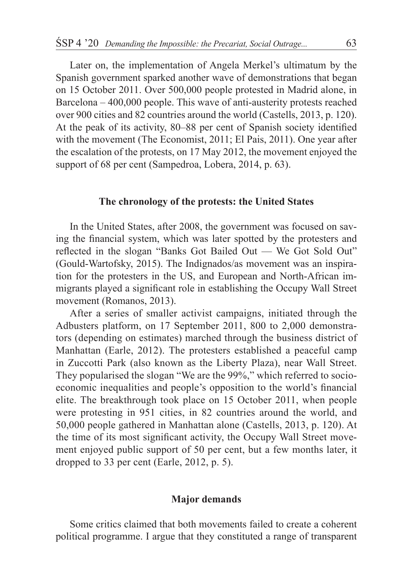Later on, the implementation of Angela Merkel's ultimatum by the Spanish government sparked another wave of demonstrations that began on 15 October 2011. Over 500,000 people protested in Madrid alone, in Barcelona – 400,000 people. This wave of anti-austerity protests reached over 900 cities and 82 countries around the world (Castells, 2013, p. 120). At the peak of its activity, 80–88 per cent of Spanish society identified with the movement (The Economist, 2011; El Pais, 2011). One year after the escalation of the protests, on 17 May 2012, the movement enjoyed the support of 68 per cent (Sampedroa, Lobera, 2014, p. 63).

### **The chronology of the protests: the United States**

In the United States, after 2008, the government was focused on saving the financial system, which was later spotted by the protesters and reflected in the slogan "Banks Got Bailed Out — We Got Sold Out" (Gould-Wartofsky, 2015). The Indignados/as movement was an inspiration for the protesters in the US, and European and North-African immigrants played a significant role in establishing the Occupy Wall Street movement (Romanos, 2013).

After a series of smaller activist campaigns, initiated through the Adbusters platform, on 17 September 2011, 800 to 2,000 demonstrators (depending on estimates) marched through the business district of Manhattan (Earle, 2012). The protesters established a peaceful camp in Zuccotti Park (also known as the Liberty Plaza), near Wall Street. They popularised the slogan "We are the 99%," which referred to socioeconomic inequalities and people's opposition to the world's financial elite. The breakthrough took place on 15 October 2011, when people were protesting in 951 cities, in 82 countries around the world, and 50,000 people gathered in Manhattan alone (Castells, 2013, p. 120). At the time of its most significant activity, the Occupy Wall Street movement enjoyed public support of 50 per cent, but a few months later, it dropped to 33 per cent (Earle, 2012, p. 5).

# **Major demands**

Some critics claimed that both movements failed to create a coherent political programme. I argue that they constituted a range of transparent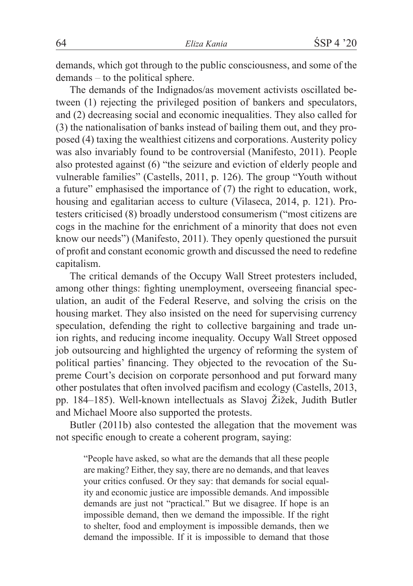demands, which got through to the public consciousness, and some of the demands – to the political sphere.

The demands of the Indignados/as movement activists oscillated between (1) rejecting the privileged position of bankers and speculators, and (2) decreasing social and economic inequalities. They also called for (3) the nationalisation of banks instead of bailing them out, and they proposed (4) taxing the wealthiest citizens and corporations. Austerity policy was also invariably found to be controversial (Manifesto, 2011). People also protested against (6) "the seizure and eviction of elderly people and vulnerable families" (Castells, 2011, p. 126). The group "Youth without a future" emphasised the importance of (7) the right to education, work, housing and egalitarian access to culture (Vilaseca, 2014, p. 121). Protesters criticised (8) broadly understood consumerism ("most citizens are cogs in the machine for the enrichment of a minority that does not even know our needs") (Manifesto, 2011). They openly questioned the pursuit of profit and constant economic growth and discussed the need to redefine capitalism.

The critical demands of the Occupy Wall Street protesters included, among other things: fighting unemployment, overseeing financial speculation, an audit of the Federal Reserve, and solving the crisis on the housing market. They also insisted on the need for supervising currency speculation, defending the right to collective bargaining and trade union rights, and reducing income inequality. Occupy Wall Street opposed job outsourcing and highlighted the urgency of reforming the system of political parties' financing. They objected to the revocation of the Supreme Court's decision on corporate personhood and put forward many other postulates that often involved pacifism and ecology (Castells, 2013, pp. 184–185). Well-known intellectuals as Slavoj Žižek, Judith Butler and Michael Moore also supported the protests.

Butler (2011b) also contested the allegation that the movement was not specific enough to create a coherent program, saying:

"People have asked, so what are the demands that all these people are making? Either, they say, there are no demands, and that leaves your critics confused. Or they say: that demands for social equality and economic justice are impossible demands. And impossible demands are just not "practical." But we disagree. If hope is an impossible demand, then we demand the impossible. If the right to shelter, food and employment is impossible demands, then we demand the impossible. If it is impossible to demand that those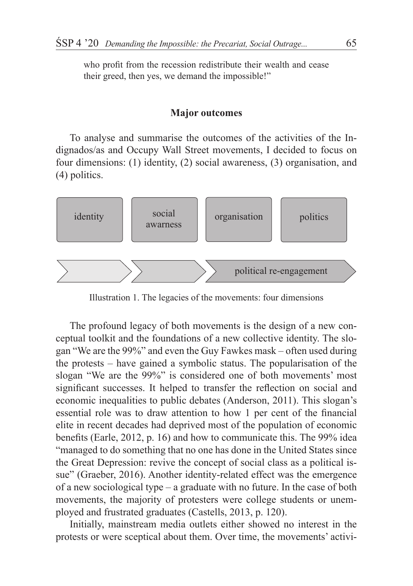who profit from the recession redistribute their wealth and cease their greed, then yes, we demand the impossible!"

#### **Major outcomes**

To analyse and summarise the outcomes of the activities of the Indignados/as and Occupy Wall Street movements, I decided to focus on four dimensions: (1) identity, (2) social awareness, (3) organisation, and (4) politics.



Illustration 1. The legacies of the movements: four dimensions

The profound legacy of both movements is the design of a new conceptual toolkit and the foundations of a new collective identity. The slogan "We are the 99%" and even the Guy Fawkes mask – often used during the protests – have gained a symbolic status. The popularisation of the slogan "We are the 99%" is considered one of both movements' most significant successes. It helped to transfer the reflection on social and economic inequalities to public debates (Anderson, 2011). This slogan's essential role was to draw attention to how 1 per cent of the financial elite in recent decades had deprived most of the population of economic benefits (Earle, 2012, p. 16) and how to communicate this. The 99% idea "managed to do something that no one has done in the United States since the Great Depression: revive the concept of social class as a political issue" (Graeber, 2016). Another identity-related effect was the emergence of a new sociological type – a graduate with no future. In the case of both movements, the majority of protesters were college students or unemployed and frustrated graduates (Castells, 2013, p. 120).

Initially, mainstream media outlets either showed no interest in the protests or were sceptical about them. Over time, the movements' activi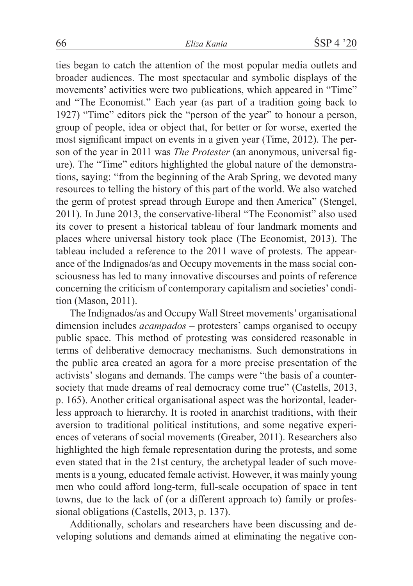ties began to catch the attention of the most popular media outlets and broader audiences. The most spectacular and symbolic displays of the movements' activities were two publications, which appeared in "Time" and "The Economist." Each year (as part of a tradition going back to 1927) "Time" editors pick the "person of the year" to honour a person, group of people, idea or object that, for better or for worse, exerted the most significant impact on events in a given year (Time, 2012). The person of the year in 2011 was *The Protester* (an anonymous, universal figure). The "Time" editors highlighted the global nature of the demonstrations, saying: "from the beginning of the Arab Spring, we devoted many resources to telling the history of this part of the world. We also watched the germ of protest spread through Europe and then America" (Stengel, 2011). In June 2013, the conservative-liberal "The Economist" also used its cover to present a historical tableau of four landmark moments and places where universal history took place (The Economist, 2013). The tableau included a reference to the 2011 wave of protests. The appearance of the Indignados/as and Occupy movements in the mass social consciousness has led to many innovative discourses and points of reference concerning the criticism of contemporary capitalism and societies' condition (Mason, 2011).

The Indignados/as and Occupy Wall Street movements' organisational dimension includes *acampados* – protesters' camps organised to occupy public space. This method of protesting was considered reasonable in terms of deliberative democracy mechanisms. Such demonstrations in the public area created an agora for a more precise presentation of the activists' slogans and demands. The camps were "the basis of a countersociety that made dreams of real democracy come true" (Castells, 2013, p. 165). Another critical organisational aspect was the horizontal, leaderless approach to hierarchy. It is rooted in anarchist traditions, with their aversion to traditional political institutions, and some negative experiences of veterans of social movements (Greaber, 2011). Researchers also highlighted the high female representation during the protests, and some even stated that in the 21st century, the archetypal leader of such movements is a young, educated female activist. However, it was mainly young men who could afford long-term, full-scale occupation of space in tent towns, due to the lack of (or a different approach to) family or professional obligations (Castells, 2013, p. 137).

Additionally, scholars and researchers have been discussing and developing solutions and demands aimed at eliminating the negative con-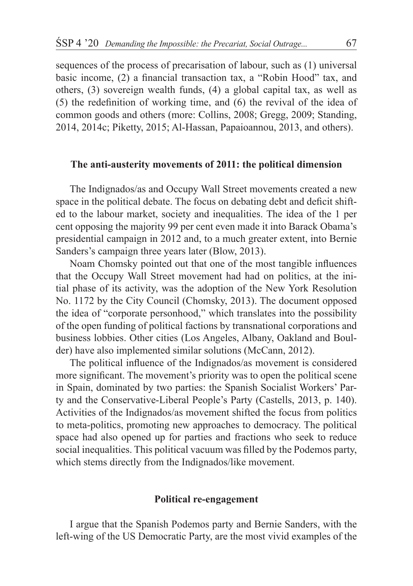sequences of the process of precarisation of labour, such as (1) universal basic income, (2) a financial transaction tax, a "Robin Hood" tax, and others, (3) sovereign wealth funds, (4) a global capital tax, as well as (5) the redefinition of working time, and (6) the revival of the idea of common goods and others (more: Collins, 2008; Gregg, 2009; Standing, 2014, 2014c; Piketty, 2015; Al-Hassan, Papaioannou, 2013, and others).

### **The anti-austerity movements of 2011: the political dimension**

The Indignados/as and Occupy Wall Street movements created a new space in the political debate. The focus on debating debt and deficit shifted to the labour market, society and inequalities. The idea of the 1 per cent opposing the majority 99 per cent even made it into Barack Obama's presidential campaign in 2012 and, to a much greater extent, into Bernie Sanders's campaign three years later (Blow, 2013).

Noam Chomsky pointed out that one of the most tangible influences that the Occupy Wall Street movement had had on politics, at the initial phase of its activity, was the adoption of the New York Resolution No. 1172 by the City Council (Chomsky, 2013). The document opposed the idea of "corporate personhood," which translates into the possibility of the open funding of political factions by transnational corporations and business lobbies. Other cities (Los Angeles, Albany, Oakland and Boulder) have also implemented similar solutions (McCann, 2012).

The political influence of the Indignados/as movement is considered more significant. The movement's priority was to open the political scene in Spain, dominated by two parties: the Spanish Socialist Workers' Party and the Conservative-Liberal People's Party (Castells, 2013, p. 140). Activities of the Indignados/as movement shifted the focus from politics to meta-politics, promoting new approaches to democracy. The political space had also opened up for parties and fractions who seek to reduce social inequalities. This political vacuum was filled by the Podemos party, which stems directly from the Indignados/like movement.

#### **Political re-engagement**

I argue that the Spanish Podemos party and Bernie Sanders, with the left-wing of the US Democratic Party, are the most vivid examples of the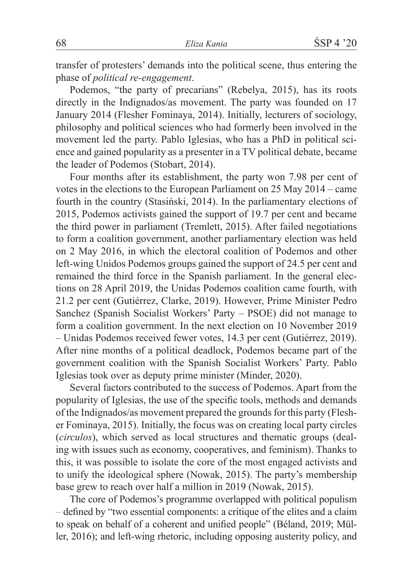transfer of protesters' demands into the political scene, thus entering the phase of *political re-engagement*.

Podemos, "the party of precarians" (Rebelya, 2015), has its roots directly in the Indignados/as movement. The party was founded on 17 January 2014 (Flesher Fominaya, 2014). Initially, lecturers of sociology, philosophy and political sciences who had formerly been involved in the movement led the party. Pablo Iglesias, who has a PhD in political science and gained popularity as a presenter in a TV political debate, became the leader of Podemos (Stobart, 2014).

Four months after its establishment, the party won 7.98 per cent of votes in the elections to the European Parliament on 25 May 2014 – came fourth in the country (Stasiński, 2014). In the parliamentary elections of 2015, Podemos activists gained the support of 19.7 per cent and became the third power in parliament (Tremlett, 2015). After failed negotiations to form a coalition government, another parliamentary election was held on 2 May 2016, in which the electoral coalition of Podemos and other left-wing Unidos Podemos groups gained the support of 24.5 per cent and remained the third force in the Spanish parliament. In the general elections on 28 April 2019, the Unidas Podemos coalition came fourth, with 21.2 per cent (Gutiérrez, Clarke, 2019). However, Prime Minister Pedro Sanchez (Spanish Socialist Workers' Party – PSOE) did not manage to form a coalition government. In the next election on 10 November 2019 – Unidas Podemos received fewer votes, 14.3 per cent (Gutiérrez, 2019). After nine months of a political deadlock, Podemos became part of the government coalition with the Spanish Socialist Workers' Party. Pablo Iglesias took over as deputy prime minister (Minder, 2020).

Several factors contributed to the success of Podemos. Apart from the popularity of Iglesias, the use of the specific tools, methods and demands of the Indignados/as movement prepared the grounds for this party (Flesher Fominaya, 2015). Initially, the focus was on creating local party circles (*circulos*), which served as local structures and thematic groups (dealing with issues such as economy, cooperatives, and feminism). Thanks to this, it was possible to isolate the core of the most engaged activists and to unify the ideological sphere (Nowak, 2015). The party's membership base grew to reach over half a million in 2019 (Nowak, 2015).

The core of Podemos's programme overlapped with political populism – defined by "two essential components: a critique of the elites and a claim to speak on behalf of a coherent and unified people" (Béland, 2019; Müller, 2016); and left-wing rhetoric, including opposing austerity policy, and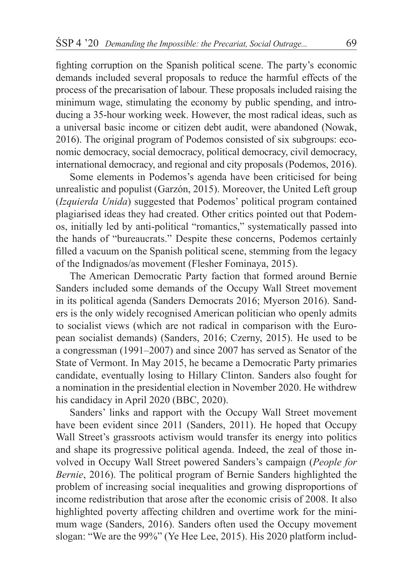fighting corruption on the Spanish political scene. The party's economic demands included several proposals to reduce the harmful effects of the process of the precarisation of labour. These proposals included raising the minimum wage, stimulating the economy by public spending, and introducing a 35-hour working week. However, the most radical ideas, such as a universal basic income or citizen debt audit, were abandoned (Nowak, 2016). The original program of Podemos consisted of six subgroups: economic democracy, social democracy, political democracy, civil democracy, international democracy, and regional and city proposals (Podemos, 2016).

Some elements in Podemos's agenda have been criticised for being unrealistic and populist (Garzón, 2015). Moreover, the United Left group (*Izquierda Unida*) suggested that Podemos' political program contained plagiarised ideas they had created. Other critics pointed out that Podemos, initially led by anti-political "romantics," systematically passed into the hands of "bureaucrats." Despite these concerns, Podemos certainly filled a vacuum on the Spanish political scene, stemming from the legacy of the Indignados/as movement (Flesher Fominaya, 2015).

The American Democratic Party faction that formed around Bernie Sanders included some demands of the Occupy Wall Street movement in its political agenda (Sanders Democrats 2016; Myerson 2016). Sanders is the only widely recognised American politician who openly admits to socialist views (which are not radical in comparison with the European socialist demands) (Sanders, 2016; Czerny, 2015). He used to be a congressman (1991–2007) and since 2007 has served as Senator of the State of Vermont. In May 2015, he became a Democratic Party primaries candidate, eventually losing to Hillary Clinton. Sanders also fought for a nomination in the presidential election in November 2020. He withdrew his candidacy in April 2020 (BBC, 2020).

Sanders' links and rapport with the Occupy Wall Street movement have been evident since 2011 (Sanders, 2011). He hoped that Occupy Wall Street's grassroots activism would transfer its energy into politics and shape its progressive political agenda. Indeed, the zeal of those involved in Occupy Wall Street powered Sanders's campaign (*People for Bernie*, 2016). The political program of Bernie Sanders highlighted the problem of increasing social inequalities and growing disproportions of income redistribution that arose after the economic crisis of 2008. It also highlighted poverty affecting children and overtime work for the minimum wage (Sanders, 2016). Sanders often used the Occupy movement slogan: "We are the 99%" (Ye Hee Lee, 2015). His 2020 platform includ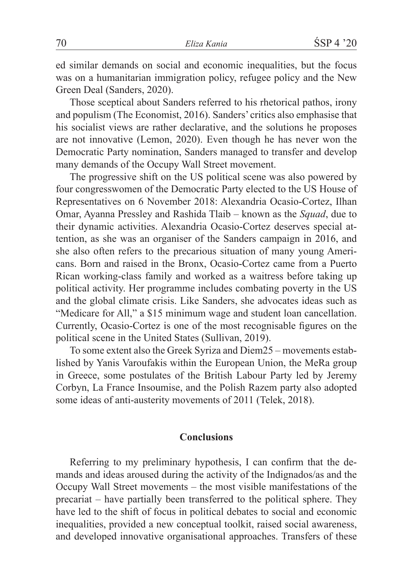ed similar demands on social and economic inequalities, but the focus was on a humanitarian immigration policy, refugee policy and the New Green Deal (Sanders, 2020).

Those sceptical about Sanders referred to his rhetorical pathos, irony and populism (The Economist, 2016). Sanders' critics also emphasise that his socialist views are rather declarative, and the solutions he proposes are not innovative (Lemon, 2020). Even though he has never won the Democratic Party nomination, Sanders managed to transfer and develop many demands of the Occupy Wall Street movement.

The progressive shift on the US political scene was also powered by four congresswomen of the Democratic Party elected to the US House of Representatives on 6 November 2018: Alexandria Ocasio-Cortez, Ilhan Omar, Ayanna Pressley and Rashida Tlaib – known as the *Squad*, due to their dynamic activities. Alexandria Ocasio-Cortez deserves special attention, as she was an organiser of the Sanders campaign in 2016, and she also often refers to the precarious situation of many young Americans. Born and raised in the Bronx, Ocasio-Cortez came from a Puerto Rican working-class family and worked as a waitress before taking up political activity. Her programme includes combating poverty in the US and the global climate crisis. Like Sanders, she advocates ideas such as "Medicare for All," a \$15 minimum wage and student loan cancellation. Currently, Ocasio-Cortez is one of the most recognisable figures on the political scene in the United States (Sullivan, 2019).

To some extent also the Greek Syriza and Diem25 – movements established by Yanis Varoufakis within the European Union, the MeRa group in Greece, some postulates of the British Labour Party led by Jeremy Corbyn, La France Insoumise, and the Polish Razem party also adopted some ideas of anti-austerity movements of 2011 (Telek, 2018).

## **Conclusions**

Referring to my preliminary hypothesis, I can confirm that the demands and ideas aroused during the activity of the Indignados/as and the Occupy Wall Street movements – the most visible manifestations of the precariat – have partially been transferred to the political sphere. They have led to the shift of focus in political debates to social and economic inequalities, provided a new conceptual toolkit, raised social awareness, and developed innovative organisational approaches. Transfers of these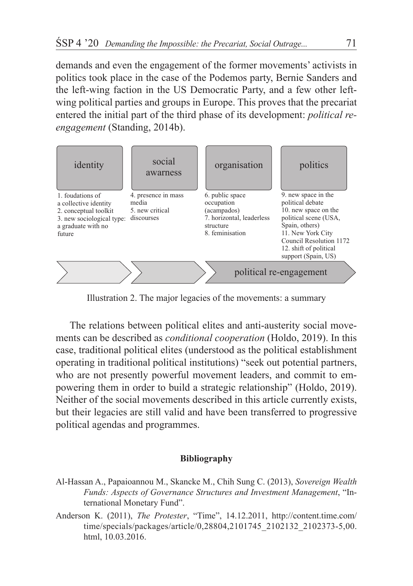demands and even the engagement of the former movements' activists in politics took place in the case of the Podemos party, Bernie Sanders and the left-wing faction in the US Democratic Party, and a few other leftwing political parties and groups in Europe. This proves that the precariat entered the initial part of the third phase of its development: *political reengagement* (Standing, 2014b).



Illustration 2. The major legacies of the movements: a summary

The relations between political elites and anti-austerity social movements can be described as *conditional cooperation* (Holdo, 2019). In this case, traditional political elites (understood as the political establishment operating in traditional political institutions) "seek out potential partners, who are not presently powerful movement leaders, and commit to empowering them in order to build a strategic relationship" (Holdo, 2019). Neither of the social movements described in this article currently exists, but their legacies are still valid and have been transferred to progressive political agendas and programmes.

#### **Bibliography**

- Al-Hassan A., Papaioannou M., Skancke M., Chih Sung C. (2013), *Sovereign Wealth Funds: Aspects of Governance Structures and Investment Management*, "International Monetary Fund".
- Anderson K. (2011), *The Protester*, "Time", 14.12.2011, http://content.time.com/ time/specials/packages/article/0,28804,2101745\_2102132\_2102373-5,00. html, 10.03.2016.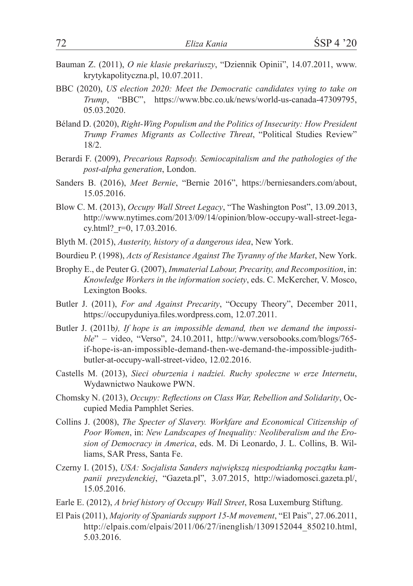- Bauman Z. (2011), *O nie klasie prekariuszy*, "Dziennik Opinii", 14.07.2011, www. krytykapolityczna.pl, 10.07.2011.
- BBC (2020), *US election 2020: Meet the Democratic candidates vying to take on Trump*, "BBC", https://www.bbc.co.uk/news/world-us-canada-47309795, 05.03.2020.
- Béland D. (2020), *Right-Wing Populism and the Politics of Insecurity: How President Trump Frames Migrants as Collective Threat*, "Political Studies Review" 18/2.
- Berardi F. (2009), *Precarious Rapsody. Semiocapitalism and the pathologies of the post-alpha generation*, London.
- Sanders B. (2016), *Meet Bernie*, "Bernie 2016", https://berniesanders.com/about, 15.05.2016.
- Blow C. M. (2013), *Occupy Wall Street Legacy*, "The Washington Post", 13.09.2013, http://www.nytimes.com/2013/09/14/opinion/blow-occupy-wall-street-legacy.html? r=0, 17.03.2016.
- Blyth M. (2015), *Austerity, history of a dangerous idea*, New York.
- Bourdieu P. (1998), *Acts of Resistance Against The Tyranny of the Market*, New York.
- Brophy E., de Peuter G. (2007), *Immaterial Labour, Precarity, and Recomposition*, in: *Knowledge Workers in the information society*, eds. C. McKercher, V. Mosco, Lexington Books.
- Butler J. (2011), *For and Against Precarity*, "Occupy Theory", December 2011, https://occupyduniya.files.wordpress.com, 12.07.2011.
- Butler J. (2011b*), If hope is an impossible demand, then we demand the impossible*" – video, "Verso", 24.10.2011, http://www.versobooks.com/blogs/765 if-hope-is-an-impossible-demand-then-we-demand-the-impossible-judithbutler-at-occupy-wall-street-video, 12.02.2016.
- Castells M. (2013), *Sieci oburzenia i nadziei. Ruchy społeczne w erze Internetu*, Wydawnictwo Naukowe PWN.
- Chomsky N. (2013), *Occupy: Reflections on Class War, Rebellion and Solidarity*, Occupied Media Pamphlet Series.
- Collins J. (2008), *The Specter of Slavery. Workfare and Economical Citizenship of Poor Women*, in: *New Landscapes of Inequality: Neoliberalism and the Erosion of Democracy in America*, eds. M. Di Leonardo, J. L. Collins, B. Williams, SAR Press, Santa Fe.
- Czerny I. (2015), *USA: Socjalista Sanders największą niespodzianką początku kampanii prezydenckiej*, "Gazeta.pl", 3.07.2015, http://wiadomosci.gazeta.pl/, 15.05.2016.
- Earle E. (2012), *A brief history of Occupy Wall Street*, Rosa Luxemburg Stiftung.
- El Pais (2011), *Majority of Spaniards support 15-M movement*, "El Pais", 27.06.2011, http://elpais.com/elpais/2011/06/27/inenglish/1309152044\_850210.html, 5.03.2016.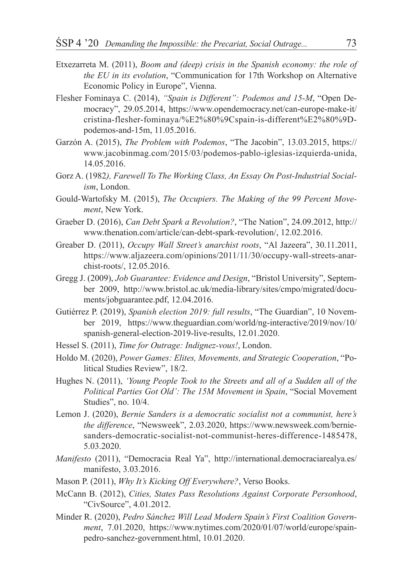- Etxezarreta M. (2011), *Boom and (deep) crisis in the Spanish economy: the role of the EU in its evolution*, "Communication for 17th Workshop on Alternative Economic Policy in Europe", Vienna.
- Flesher Fominaya C. (2014), *"Spain is Different": Podemos and 15-M*, "Open Democracy", 29.05.2014, https://www.opendemocracy.net/can-europe-make-it/ cristina-flesher-fominaya/%E2%80%9Cspain-is-different%E2%80%9Dpodemos-and-15m, 11.05.2016.
- Garzón A. (2015), *The Problem with Podemos*, "The Jacobin", 13.03.2015, https:// www.jacobinmag.com/2015/03/podemos-pablo-iglesias-izquierda-unida, 14.05.2016.
- Gorz A. (1982*), Farewell To The Working Class, An Essay On Post-Industrial Socialism*, London.
- Gould-Wartofsky M. (2015), *The Occupiers. The Making of the 99 Percent Movement*, New York.
- Graeber D. (2016), *Can Debt Spark a Revolution?*, "The Nation", 24.09.2012, http:// www.thenation.com/article/can-debt-spark-revolution/, 12.02.2016.
- Greaber D. (2011), *Occupy Wall Street's anarchist roots*, "Al Jazeera", 30.11.2011, https://www.aljazeera.com/opinions/2011/11/30/occupy-wall-streets-anarchist-roots/, 12.05.2016.
- Gregg J. (2009), *Job Guarantee: Evidence and Design*, "Bristol University", September 2009, http://www.bristol.ac.uk/media-library/sites/cmpo/migrated/documents/jobguarantee.pdf, 12.04.2016.
- Gutiérrez P. (2019), *Spanish election 2019: full results*, "The Guardian", 10 November 2019, https://www.theguardian.com/world/ng-interactive/2019/nov/10/ spanish-general-election-2019-live-results, 12.01.2020.
- Hessel S. (2011), *Time for Outrage: Indignez-vous!*, London.
- Holdo M. (2020), *Power Games: Elites, Movements, and Strategic Cooperation*, "Political Studies Review", 18/2.
- Hughes N. (2011), *'Young People Took to the Streets and all of a Sudden all of the Political Parties Got Old': The 15M Movement in Spain*, "Social Movement Studies", no. 10/4.
- Lemon J. (2020), *Bernie Sanders is a democratic socialist not a communist, here's the difference*, "Newsweek", 2.03.2020, https://www.newsweek.com/berniesanders-democratic-socialist-not-communist-heres-difference-1485478, 5.03.2020.
- *Manifesto* (2011), "Democracia Real Ya", http://international.democraciarealya.es/ manifesto, 3.03.2016.
- Mason P. (2011), *Why It's Kicking Off Everywhere?*, Verso Books.
- McCann B. (2012), *Cities, States Pass Resolutions Against Corporate Personhood*, "CivSource", 4.01.2012.
- Minder R. (2020), *Pedro Sánchez Will Lead Modern Spain's First Coalition Government*, 7.01.2020, https://www.nytimes.com/2020/01/07/world/europe/spainpedro-sanchez-government.html, 10.01.2020.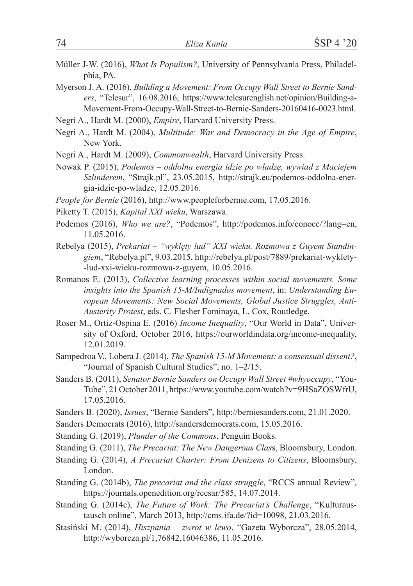Müller J-W. (2016), *What Is Populism?*, University of Pennsylvania Press, Philadelphia, PA.

Myerson J. A. (2016), *Building a Movement: From Occupy Wall Street to Bernie Sanders*, "Telesur", 16.08.2016, https://www.telesurenglish.net/opinion/Building-a-Movement-From-Occupy-Wall-Street-to-Bernie-Sanders-20160416-0023.html.

Negri A., Hardt M. (2000), *Empire*, Harvard University Press.

- Negri A., Hardt M. (2004), *Multitude: War and Democracy in the Age of Empire*, New York.
- Negri A., Hardt M. (2009), *Commonwealth*, Harvard University Press.
- Nowak P. (2015), *Podemos oddolna energia idzie po władzę, wywiad z Maciejem Szlinderem*, "Strajk.pl", 23.05.2015, http://strajk.eu/podemos-oddolna-energia-idzie-po-wladze, 12.05.2016.
- *People for Bernie* (2016), http://www.peopleforbernie.com, 17.05.2016.
- Piketty T. (2015), *Kapitał XXI wieku*, Warszawa.
- Podemos (2016), *Who we are?*, "Podemos", http://podemos.info/conoce/?lang=en, 11.05.2016.
- Rebelya (2015), *Prekariat "wyklęty lud" XXI wieku. Rozmowa z Guyem Standingiem*, "Rebelya.pl", 9.03.2015, http://rebelya.pl/post/7889/prekariat-wyklety- -lud-xxi-wieku-rozmowa-z-guyem, 10.05.2016.
- Romanos E. (2013), *Collective learning processes within social movements. Some insights into the Spanish 15-M/Indignados movement*, in: *Understanding European Movements: New Social Movements, Global Justice Struggles, Anti-Austerity Protest*, eds. C. Flesher Fominaya, L. Cox, Routledge.
- Roser M., Ortiz-Ospina E. (2016) *Income Inequality*, "Our World in Data", University of Oxford, October 2016, https://ourworldindata.org/income-inequality, 12.01.2019.
- Sampedroa V., Lobera J. (2014), *The Spanish 15-M Movement: a consensual dissent?*, "Journal of Spanish Cultural Studies", no. 1–2/15.
- Sanders B. (2011), *Senator Bernie Sanders on Occupy Wall Street #whyoccupy*, "You-Tube", 21 October 2011, https://www.youtube.com/watch?v=9HSaZOSWfrU, 17.05.2016.
- Sanders B. (2020), *Issues*, "Bernie Sanders", http://berniesanders.com, 21.01.2020.
- Sanders Democrats (2016), http://sandersdemocrats.com, 15.05.2016.
- Standing G. (2019), *Plunder of the Commons*, Penguin Books.
- Standing G. (2011), *The Precariat: The New Dangerous Clas*s, Bloomsbury, London.
- Standing G. (2014), *A Precariat Charter: From Denizens to Citizens*, Bloomsbury, London.
- Standing G. (2014b), *The precariat and the class struggle*, "RCCS annual Review", https://journals.openedition.org/rccsar/585, 14.07.2014.
- Standing G. (2014c), *The Future of Work: The Precariat's Challenge*, "Kulturaustausch online", March 2013, http://cms.ifa.de/?id=10098, 21.03.2016.
- Stasiński M. (2014), *Hiszpania zwrot w lewo*, "Gazeta Wyborcza", 28.05.2014, http://wyborcza.pl/1,76842,16046386, 11.05.2016.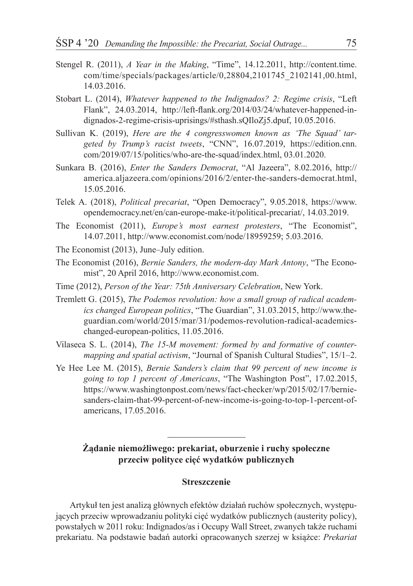- Stengel R. (2011), *A Year in the Making*, "Time", 14.12.2011, http://content.time. com/time/specials/packages/article/0,28804,2101745\_2102141,00.html, 14.03.2016.
- Stobart L. (2014), *Whatever happened to the Indignados? 2: Regime crisis*, "Left Flank", 24.03.2014, http://left-flank.org/2014/03/24/whatever-happened-indignados-2-regime-crisis-uprisings/#sthash.sQIloZj5.dpuf, 10.05.2016.
- Sullivan K. (2019), *Here are the 4 congresswomen known as 'The Squad' targeted by Trump's racist tweets*, "CNN", 16.07.2019, https://edition.cnn. com/2019/07/15/politics/who-are-the-squad/index.html, 03.01.2020.
- Sunkara B. (2016), *Enter the Sanders Democrat*, "Al Jazeera", 8.02.2016, http:// america.aljazeera.com/opinions/2016/2/enter-the-sanders-democrat.html, 15.05.2016.
- Telek A. (2018), *Political precariat*, "Open Democracy", 9.05.2018, https://www. opendemocracy.net/en/can-europe-make-it/political-precariat/, 14.03.2019.
- The Economist (2011), *Europe's most earnest protesters*, "The Economist", 14.07.2011, http://www.economist.com/node/18959259; 5.03.2016.
- The Economist (2013), June–July edition.
- The Economist (2016), *Bernie Sanders, the modern-day Mark Antony*, "The Economist", 20 April 2016, http://www.economist.com.
- Time (2012), *Person of the Year: 75th Anniversary Celebration*, New York.
- Tremlett G. (2015), *The Podemos revolution: how a small group of radical academics changed European politics*, "The Guardian", 31.03.2015, http://www.theguardian.com/world/2015/mar/31/podemos-revolution-radical-academicschanged-european-politics, 11.05.2016.
- Vilaseca S. L. (2014), *The 15-M movement: formed by and formative of countermapping and spatial activism*, "Journal of Spanish Cultural Studies", 15/1–2.
- Ye Hee Lee M. (2015), *Bernie Sanders's claim that 99 percent of new income is going to top 1 percent of Americans*, "The Washington Post", 17.02.2015, https://www.washingtonpost.com/news/fact-checker/wp/2015/02/17/berniesanders-claim-that-99-percent-of-new-income-is-going-to-top-1-percent-ofamericans, 17.05.2016.

## **Żądanie niemożliwego: prekariat, oburzenie i ruchy społeczne przeciw polityce cięć wydatków publicznych**

#### **Streszczenie**

Artykuł ten jest analizą głównych efektów działań ruchów społecznych, występujących przeciw wprowadzaniu polityki cięć wydatków publicznych (austerity policy), powstałych w 2011 roku: Indignados/as i Occupy Wall Street, zwanych także ruchami prekariatu. Na podstawie badań autorki opracowanych szerzej w książce: *Prekariat*